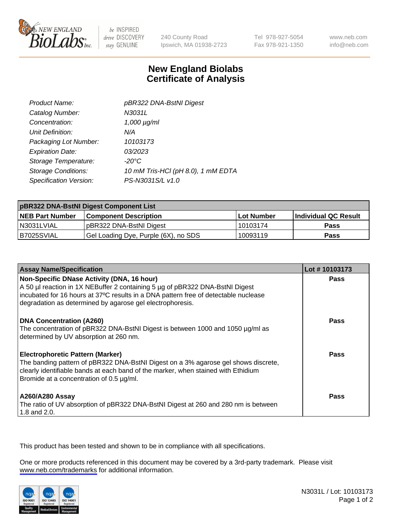

be INSPIRED drive DISCOVERY stay GENUINE

240 County Road Ipswich, MA 01938-2723 Tel 978-927-5054 Fax 978-921-1350

www.neb.com info@neb.com

## **New England Biolabs Certificate of Analysis**

| Product Name:              | pBR322 DNA-BstNI Digest            |
|----------------------------|------------------------------------|
| Catalog Number:            | N3031L                             |
| Concentration:             | $1,000 \mu g/ml$                   |
| Unit Definition:           | N/A                                |
| Packaging Lot Number:      | 10103173                           |
| <b>Expiration Date:</b>    | 03/2023                            |
| Storage Temperature:       | $-20^{\circ}$ C                    |
| <b>Storage Conditions:</b> | 10 mM Tris-HCl (pH 8.0), 1 mM EDTA |
| Specification Version:     | PS-N3031S/L v1.0                   |

| pBR322 DNA-BstNI Digest Component List |                                      |            |                      |  |
|----------------------------------------|--------------------------------------|------------|----------------------|--|
| <b>NEB Part Number</b>                 | <b>Component Description</b>         | Lot Number | Individual QC Result |  |
| N3031LVIAL                             | pBR322 DNA-BstNI Digest              | 10103174   | <b>Pass</b>          |  |
| I B7025SVIAL                           | Gel Loading Dye, Purple (6X), no SDS | 10093119   | <b>Pass</b>          |  |

| <b>Assay Name/Specification</b>                                                                                                                                                                                                                                                | Lot #10103173 |
|--------------------------------------------------------------------------------------------------------------------------------------------------------------------------------------------------------------------------------------------------------------------------------|---------------|
| Non-Specific DNase Activity (DNA, 16 hour)<br>A 50 µl reaction in 1X NEBuffer 2 containing 5 µg of pBR322 DNA-BstNI Digest<br>incubated for 16 hours at 37°C results in a DNA pattern free of detectable nuclease<br>degradation as determined by agarose gel electrophoresis. | <b>Pass</b>   |
| DNA Concentration (A260)<br>The concentration of pBR322 DNA-BstNI Digest is between 1000 and 1050 µg/ml as<br>determined by UV absorption at 260 nm.                                                                                                                           | Pass          |
| <b>Electrophoretic Pattern (Marker)</b><br>The banding pattern of pBR322 DNA-BstNI Digest on a 3% agarose gel shows discrete,<br>clearly identifiable bands at each band of the marker, when stained with Ethidium<br>Bromide at a concentration of 0.5 µg/ml.                 | Pass          |
| <b>A260/A280 Assay</b><br>The ratio of UV absorption of pBR322 DNA-BstNI Digest at 260 and 280 nm is between<br>1.8 and 2.0.                                                                                                                                                   | <b>Pass</b>   |

This product has been tested and shown to be in compliance with all specifications.

One or more products referenced in this document may be covered by a 3rd-party trademark. Please visit <www.neb.com/trademarks>for additional information.